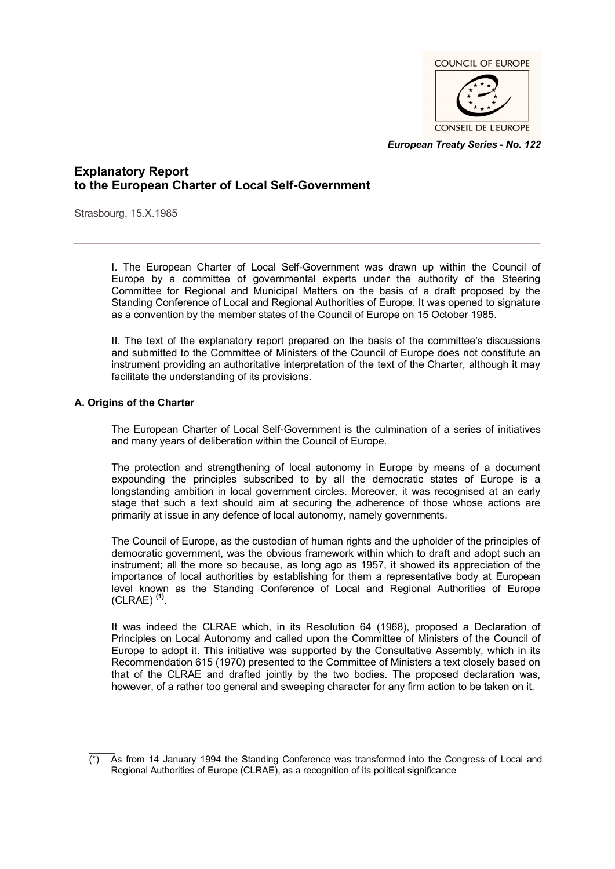

*European Treaty Series* **-** *No. 122*

# **Explanatory Report to the European Charter of Local Self-Government**

Strasbourg, 15.X.1985

I. The European Charter of Local Self-Government was drawn up within the Council of Europe by a committee of governmental experts under the authority of the Steering Committee for Regional and Municipal Matters on the basis of a draft proposed by the Standing Conference of Local and Regional Authorities of Europe. It was opened to signature as a convention by the member states of the Council of Europe on 15 October 1985.

II. The text of the explanatory report prepared on the basis of the committee's discussions and submitted to the Committee of Ministers of the Council of Europe does not constitute an instrument providing an authoritative interpretation of the text of the Charter, although it may facilitate the understanding of its provisions.

#### **A. Origins of the Charter**

The European Charter of Local Self-Government is the culmination of a series of initiatives and many years of deliberation within the Council of Europe.

The protection and strengthening of local autonomy in Europe by means of a document expounding the principles subscribed to by all the democratic states of Europe is a longstanding ambition in local government circles. Moreover, it was recognised at an early stage that such a text should aim at securing the adherence of those whose actions are primarily at issue in any defence of local autonomy, namely governments.

The Council of Europe, as the custodian of human rights and the upholder of the principles of democratic government, was the obvious framework within which to draft and adopt such an instrument; all the more so because, as long ago as 1957, it showed its appreciation of the importance of local authorities by establishing for them a representative body at European level known as the Standing Conference of Local and Regional Authorities of Europe (CLRAE) **(1)** .

It was indeed the CLRAE which, in its Resolution 64 (1968), proposed a Declaration of Principles on Local Autonomy and called upon the Committee of Ministers of the Council of Europe to adopt it. This initiative was supported by the Consultative Assembly, which in its Recommendation 615 (1970) presented to the Committee of Ministers a text closely based on that of the CLRAE and drafted jointly by the two bodies. The proposed declaration was, however, of a rather too general and sweeping character for any firm action to be taken on it.

 $\overline{\phantom{a}}$ (\*) As from 14 January 1994 the Standing Conference was transformed into the Congress of Local and Regional Authorities of Europe (CLRAE), as a recognition of its political significance.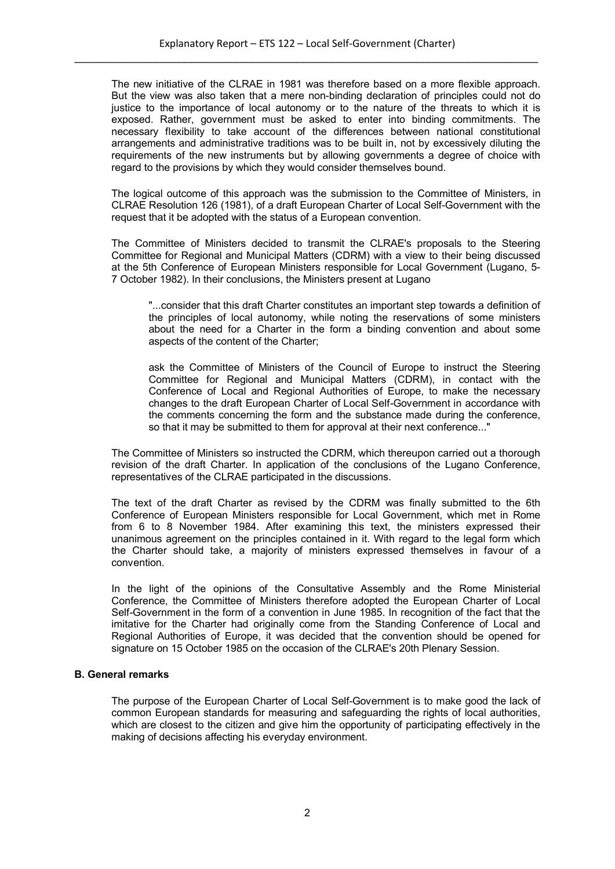The new initiative of the CLRAE in 1981 was therefore based on a more flexible approach. But the view was also taken that a mere non-binding declaration of principles could not do justice to the importance of local autonomy or to the nature of the threats to which it is exposed. Rather, government must be asked to enter into binding commitments. The necessary flexibility to take account of the differences between national constitutional arrangements and administrative traditions was to be built in, not by excessively diluting the requirements of the new instruments but by allowing governments a degree of choice with regard to the provisions by which they would consider themselves bound.

The logical outcome of this approach was the submission to the Committee of Ministers, in CLRAE Resolution 126 (1981), of a draft European Charter of Local Self-Government with the request that it be adopted with the status of a European convention.

The Committee of Ministers decided to transmit the CLRAE's proposals to the Steering Committee for Regional and Municipal Matters (CDRM) with a view to their being discussed at the 5th Conference of European Ministers responsible for Local Government (Lugano, 5- 7 October 1982). In their conclusions, the Ministers present at Lugano

"...consider that this draft Charter constitutes an important step towards a definition of the principles of local autonomy, while noting the reservations of some ministers about the need for a Charter in the form a binding convention and about some aspects of the content of the Charter;

ask the Committee of Ministers of the Council of Europe to instruct the Steering Committee for Regional and Municipal Matters (CDRM), in contact with the Conference of Local and Regional Authorities of Europe, to make the necessary changes to the draft European Charter of Local Self-Government in accordance with the comments concerning the form and the substance made during the conference, so that it may be submitted to them for approval at their next conference..."

The Committee of Ministers so instructed the CDRM, which thereupon carried out a thorough revision of the draft Charter. In application of the conclusions of the Lugano Conference, representatives of the CLRAE participated in the discussions.

The text of the draft Charter as revised by the CDRM was finally submitted to the 6th Conference of European Ministers responsible for Local Government, which met in Rome from 6 to 8 November 1984. After examining this text, the ministers expressed their unanimous agreement on the principles contained in it. With regard to the legal form which the Charter should take, a majority of ministers expressed themselves in favour of a convention.

In the light of the opinions of the Consultative Assembly and the Rome Ministerial Conference, the Committee of Ministers therefore adopted the European Charter of Local Self-Government in the form of a convention in June 1985. In recognition of the fact that the imitative for the Charter had originally come from the Standing Conference of Local and Regional Authorities of Europe, it was decided that the convention should be opened for signature on 15 October 1985 on the occasion of the CLRAE's 20th Plenary Session.

# **B. General remarks**

The purpose of the European Charter of Local Self-Government is to make good the lack of common European standards for measuring and safeguarding the rights of local authorities, which are closest to the citizen and give him the opportunity of participating effectively in the making of decisions affecting his everyday environment.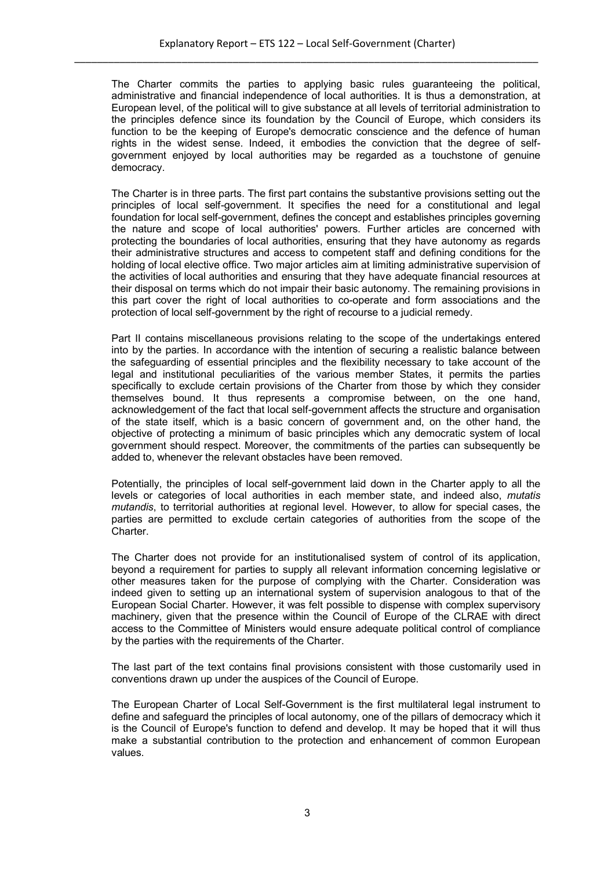The Charter commits the parties to applying basic rules guaranteeing the political, administrative and financial independence of local authorities. It is thus a demonstration, at European level, of the political will to give substance at all levels of territorial administration to the principles defence since its foundation by the Council of Europe, which considers its function to be the keeping of Europe's democratic conscience and the defence of human rights in the widest sense. Indeed, it embodies the conviction that the degree of selfgovernment enjoyed by local authorities may be regarded as a touchstone of genuine democracy.

The Charter is in three parts. The first part contains the substantive provisions setting out the principles of local self-government. It specifies the need for a constitutional and legal foundation for local self-government, defines the concept and establishes principles governing the nature and scope of local authorities' powers. Further articles are concerned with protecting the boundaries of local authorities, ensuring that they have autonomy as regards their administrative structures and access to competent staff and defining conditions for the holding of local elective office. Two major articles aim at limiting administrative supervision of the activities of local authorities and ensuring that they have adequate financial resources at their disposal on terms which do not impair their basic autonomy. The remaining provisions in this part cover the right of local authorities to co-operate and form associations and the protection of local self-government by the right of recourse to a judicial remedy.

Part II contains miscellaneous provisions relating to the scope of the undertakings entered into by the parties. In accordance with the intention of securing a realistic balance between the safeguarding of essential principles and the flexibility necessary to take account of the legal and institutional peculiarities of the various member States, it permits the parties specifically to exclude certain provisions of the Charter from those by which they consider themselves bound. It thus represents a compromise between, on the one hand, acknowledgement of the fact that local self-government affects the structure and organisation of the state itself, which is a basic concern of government and, on the other hand, the objective of protecting a minimum of basic principles which any democratic system of local government should respect. Moreover, the commitments of the parties can subsequently be added to, whenever the relevant obstacles have been removed.

Potentially, the principles of local self-government laid down in the Charter apply to all the levels or categories of local authorities in each member state, and indeed also, *mutatis mutandis*, to territorial authorities at regional level. However, to allow for special cases, the parties are permitted to exclude certain categories of authorities from the scope of the Charter.

The Charter does not provide for an institutionalised system of control of its application, beyond a requirement for parties to supply all relevant information concerning legislative or other measures taken for the purpose of complying with the Charter. Consideration was indeed given to setting up an international system of supervision analogous to that of the European Social Charter. However, it was felt possible to dispense with complex supervisory machinery, given that the presence within the Council of Europe of the CLRAE with direct access to the Committee of Ministers would ensure adequate political control of compliance by the parties with the requirements of the Charter.

The last part of the text contains final provisions consistent with those customarily used in conventions drawn up under the auspices of the Council of Europe.

The European Charter of Local Self-Government is the first multilateral legal instrument to define and safeguard the principles of local autonomy, one of the pillars of democracy which it is the Council of Europe's function to defend and develop. It may be hoped that it will thus make a substantial contribution to the protection and enhancement of common European values.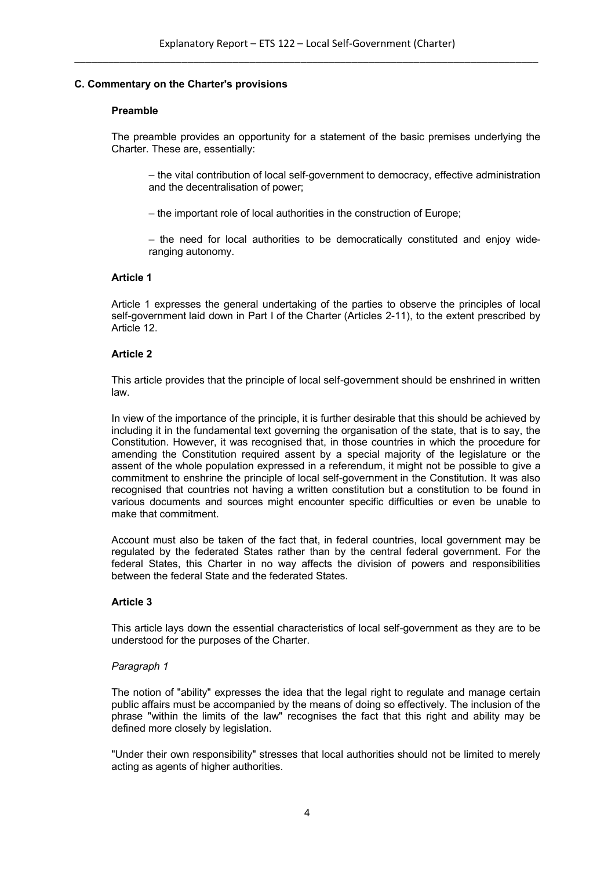# **C. Commentary on the Charter's provisions**

#### **Preamble**

The preamble provides an opportunity for a statement of the basic premises underlying the Charter. These are, essentially:

– the vital contribution of local self-government to democracy, effective administration and the decentralisation of power;

– the important role of local authorities in the construction of Europe;

– the need for local authorities to be democratically constituted and enjoy wideranging autonomy.

# **Article 1**

Article 1 expresses the general undertaking of the parties to observe the principles of local self-government laid down in Part I of the Charter (Articles 2-11), to the extent prescribed by Article 12.

# **Article 2**

This article provides that the principle of local self-government should be enshrined in written law.

In view of the importance of the principle, it is further desirable that this should be achieved by including it in the fundamental text governing the organisation of the state, that is to say, the Constitution. However, it was recognised that, in those countries in which the procedure for amending the Constitution required assent by a special majority of the legislature or the assent of the whole population expressed in a referendum, it might not be possible to give a commitment to enshrine the principle of local self-government in the Constitution. It was also recognised that countries not having a written constitution but a constitution to be found in various documents and sources might encounter specific difficulties or even be unable to make that commitment.

Account must also be taken of the fact that, in federal countries, local government may be regulated by the federated States rather than by the central federal government. For the federal States, this Charter in no way affects the division of powers and responsibilities between the federal State and the federated States.

# **Article 3**

This article lays down the essential characteristics of local self-government as they are to be understood for the purposes of the Charter.

#### *Paragraph 1*

The notion of "ability" expresses the idea that the legal right to regulate and manage certain public affairs must be accompanied by the means of doing so effectively. The inclusion of the phrase "within the limits of the law" recognises the fact that this right and ability may be defined more closely by legislation.

"Under their own responsibility" stresses that local authorities should not be limited to merely acting as agents of higher authorities.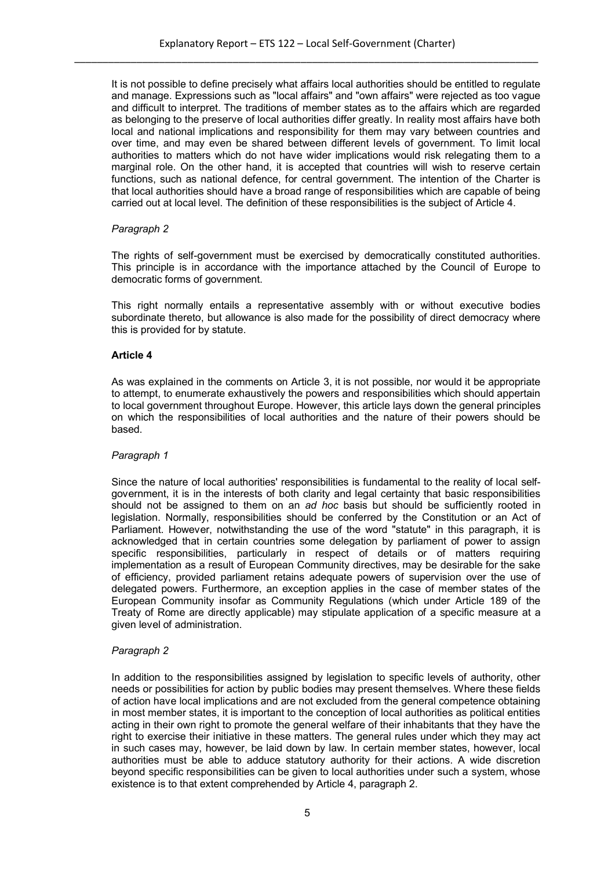It is not possible to define precisely what affairs local authorities should be entitled to regulate and manage. Expressions such as "local affairs" and "own affairs" were rejected as too vague and difficult to interpret. The traditions of member states as to the affairs which are regarded as belonging to the preserve of local authorities differ greatly. In reality most affairs have both local and national implications and responsibility for them may vary between countries and over time, and may even be shared between different levels of government. To limit local authorities to matters which do not have wider implications would risk relegating them to a marginal role. On the other hand, it is accepted that countries will wish to reserve certain functions, such as national defence, for central government. The intention of the Charter is that local authorities should have a broad range of responsibilities which are capable of being carried out at local level. The definition of these responsibilities is the subject of Article 4.

# *Paragraph 2*

The rights of self-government must be exercised by democratically constituted authorities. This principle is in accordance with the importance attached by the Council of Europe to democratic forms of government.

This right normally entails a representative assembly with or without executive bodies subordinate thereto, but allowance is also made for the possibility of direct democracy where this is provided for by statute.

# **Article 4**

As was explained in the comments on Article 3, it is not possible, nor would it be appropriate to attempt, to enumerate exhaustively the powers and responsibilities which should appertain to local government throughout Europe. However, this article lays down the general principles on which the responsibilities of local authorities and the nature of their powers should be based.

# *Paragraph 1*

Since the nature of local authorities' responsibilities is fundamental to the reality of local selfgovernment, it is in the interests of both clarity and legal certainty that basic responsibilities should not be assigned to them on an *ad hoc* basis but should be sufficiently rooted in legislation. Normally, responsibilities should be conferred by the Constitution or an Act of Parliament. However, notwithstanding the use of the word "statute" in this paragraph, it is acknowledged that in certain countries some delegation by parliament of power to assign specific responsibilities, particularly in respect of details or of matters requiring implementation as a result of European Community directives, may be desirable for the sake of efficiency, provided parliament retains adequate powers of supervision over the use of delegated powers. Furthermore, an exception applies in the case of member states of the European Community insofar as Community Regulations (which under Article 189 of the Treaty of Rome are directly applicable) may stipulate application of a specific measure at a given level of administration.

# *Paragraph 2*

In addition to the responsibilities assigned by legislation to specific levels of authority, other needs or possibilities for action by public bodies may present themselves. Where these fields of action have local implications and are not excluded from the general competence obtaining in most member states, it is important to the conception of local authorities as political entities acting in their own right to promote the general welfare of their inhabitants that they have the right to exercise their initiative in these matters. The general rules under which they may act in such cases may, however, be laid down by law. In certain member states, however, local authorities must be able to adduce statutory authority for their actions. A wide discretion beyond specific responsibilities can be given to local authorities under such a system, whose existence is to that extent comprehended by Article 4, paragraph 2.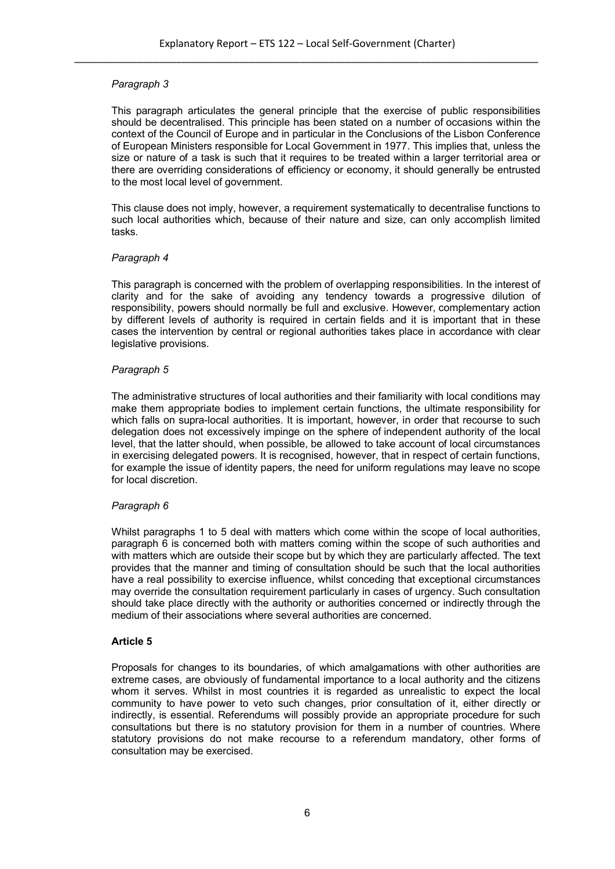This paragraph articulates the general principle that the exercise of public responsibilities should be decentralised. This principle has been stated on a number of occasions within the context of the Council of Europe and in particular in the Conclusions of the Lisbon Conference of European Ministers responsible for Local Government in 1977. This implies that, unless the size or nature of a task is such that it requires to be treated within a larger territorial area or there are overriding considerations of efficiency or economy, it should generally be entrusted to the most local level of government.

This clause does not imply, however, a requirement systematically to decentralise functions to such local authorities which, because of their nature and size, can only accomplish limited tasks.

#### *Paragraph 4*

This paragraph is concerned with the problem of overlapping responsibilities. In the interest of clarity and for the sake of avoiding any tendency towards a progressive dilution of responsibility, powers should normally be full and exclusive. However, complementary action by different levels of authority is required in certain fields and it is important that in these cases the intervention by central or regional authorities takes place in accordance with clear legislative provisions.

#### *Paragraph 5*

The administrative structures of local authorities and their familiarity with local conditions may make them appropriate bodies to implement certain functions, the ultimate responsibility for which falls on supra-local authorities. It is important, however, in order that recourse to such delegation does not excessively impinge on the sphere of independent authority of the local level, that the latter should, when possible, be allowed to take account of local circumstances in exercising delegated powers. It is recognised, however, that in respect of certain functions, for example the issue of identity papers, the need for uniform regulations may leave no scope for local discretion.

# *Paragraph 6*

Whilst paragraphs 1 to 5 deal with matters which come within the scope of local authorities, paragraph 6 is concerned both with matters coming within the scope of such authorities and with matters which are outside their scope but by which they are particularly affected. The text provides that the manner and timing of consultation should be such that the local authorities have a real possibility to exercise influence, whilst conceding that exceptional circumstances may override the consultation requirement particularly in cases of urgency. Such consultation should take place directly with the authority or authorities concerned or indirectly through the medium of their associations where several authorities are concerned.

# **Article 5**

Proposals for changes to its boundaries, of which amalgamations with other authorities are extreme cases, are obviously of fundamental importance to a local authority and the citizens whom it serves. Whilst in most countries it is regarded as unrealistic to expect the local community to have power to veto such changes, prior consultation of it, either directly or indirectly, is essential. Referendums will possibly provide an appropriate procedure for such consultations but there is no statutory provision for them in a number of countries. Where statutory provisions do not make recourse to a referendum mandatory, other forms of consultation may be exercised.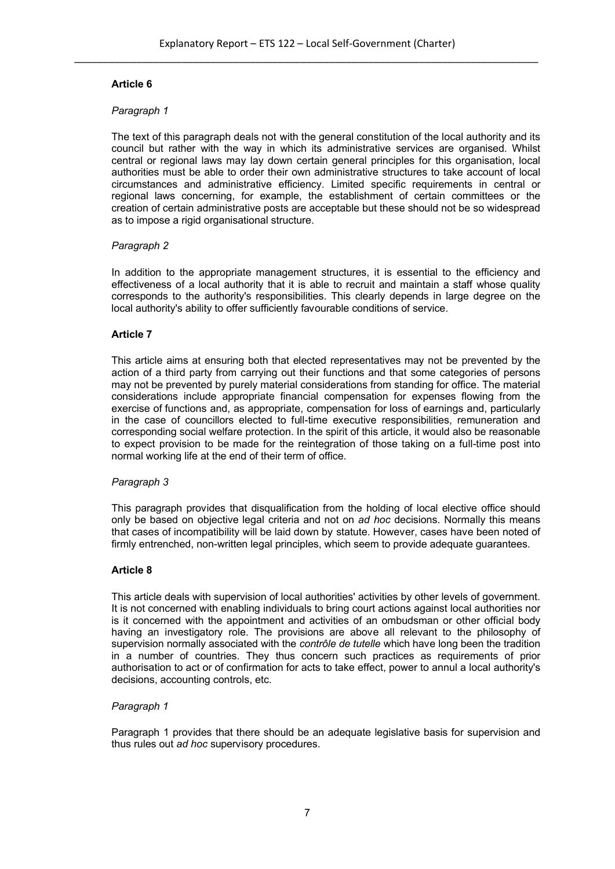# **Article 6**

# *Paragraph 1*

The text of this paragraph deals not with the general constitution of the local authority and its council but rather with the way in which its administrative services are organised. Whilst central or regional laws may lay down certain general principles for this organisation, local authorities must be able to order their own administrative structures to take account of local circumstances and administrative efficiency. Limited specific requirements in central or regional laws concerning, for example, the establishment of certain committees or the creation of certain administrative posts are acceptable but these should not be so widespread as to impose a rigid organisational structure.

# *Paragraph 2*

In addition to the appropriate management structures, it is essential to the efficiency and effectiveness of a local authority that it is able to recruit and maintain a staff whose quality corresponds to the authority's responsibilities. This clearly depends in large degree on the local authority's ability to offer sufficiently favourable conditions of service.

# **Article 7**

This article aims at ensuring both that elected representatives may not be prevented by the action of a third party from carrying out their functions and that some categories of persons may not be prevented by purely material considerations from standing for office. The material considerations include appropriate financial compensation for expenses flowing from the exercise of functions and, as appropriate, compensation for loss of earnings and, particularly in the case of councillors elected to full-time executive responsibilities, remuneration and corresponding social welfare protection. In the spirit of this article, it would also be reasonable to expect provision to be made for the reintegration of those taking on a full-time post into normal working life at the end of their term of office.

# *Paragraph 3*

This paragraph provides that disqualification from the holding of local elective office should only be based on objective legal criteria and not on *ad hoc* decisions. Normally this means that cases of incompatibility will be laid down by statute. However, cases have been noted of firmly entrenched, non-written legal principles, which seem to provide adequate guarantees.

# **Article 8**

This article deals with supervision of local authorities' activities by other levels of government. It is not concerned with enabling individuals to bring court actions against local authorities nor is it concerned with the appointment and activities of an ombudsman or other official body having an investigatory role. The provisions are above all relevant to the philosophy of supervision normally associated with the *contrôle de tutelle* which have long been the tradition in a number of countries. They thus concern such practices as requirements of prior authorisation to act or of confirmation for acts to take effect, power to annul a local authority's decisions, accounting controls, etc.

# *Paragraph 1*

Paragraph 1 provides that there should be an adequate legislative basis for supervision and thus rules out *ad hoc* supervisory procedures.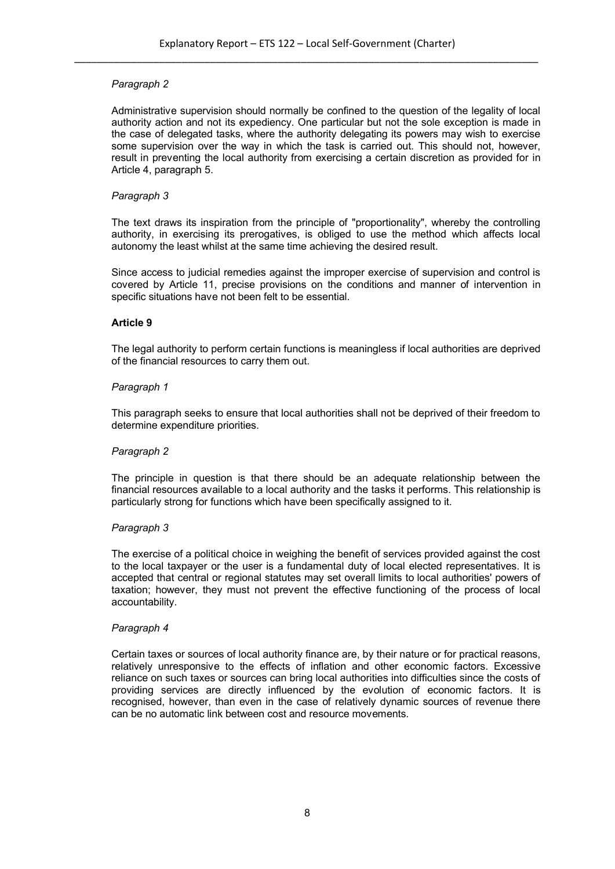Administrative supervision should normally be confined to the question of the legality of local authority action and not its expediency. One particular but not the sole exception is made in the case of delegated tasks, where the authority delegating its powers may wish to exercise some supervision over the way in which the task is carried out. This should not, however, result in preventing the local authority from exercising a certain discretion as provided for in Article 4, paragraph 5.

#### *Paragraph 3*

The text draws its inspiration from the principle of "proportionality", whereby the controlling authority, in exercising its prerogatives, is obliged to use the method which affects local autonomy the least whilst at the same time achieving the desired result.

Since access to judicial remedies against the improper exercise of supervision and control is covered by Article 11, precise provisions on the conditions and manner of intervention in specific situations have not been felt to be essential.

#### **Article 9**

The legal authority to perform certain functions is meaningless if local authorities are deprived of the financial resources to carry them out.

#### *Paragraph 1*

This paragraph seeks to ensure that local authorities shall not be deprived of their freedom to determine expenditure priorities.

#### *Paragraph 2*

The principle in question is that there should be an adequate relationship between the financial resources available to a local authority and the tasks it performs. This relationship is particularly strong for functions which have been specifically assigned to it.

# *Paragraph 3*

The exercise of a political choice in weighing the benefit of services provided against the cost to the local taxpayer or the user is a fundamental duty of local elected representatives. It is accepted that central or regional statutes may set overall limits to local authorities' powers of taxation; however, they must not prevent the effective functioning of the process of local accountability.

#### *Paragraph 4*

Certain taxes or sources of local authority finance are, by their nature or for practical reasons, relatively unresponsive to the effects of inflation and other economic factors. Excessive reliance on such taxes or sources can bring local authorities into difficulties since the costs of providing services are directly influenced by the evolution of economic factors. It is recognised, however, than even in the case of relatively dynamic sources of revenue there can be no automatic link between cost and resource movements.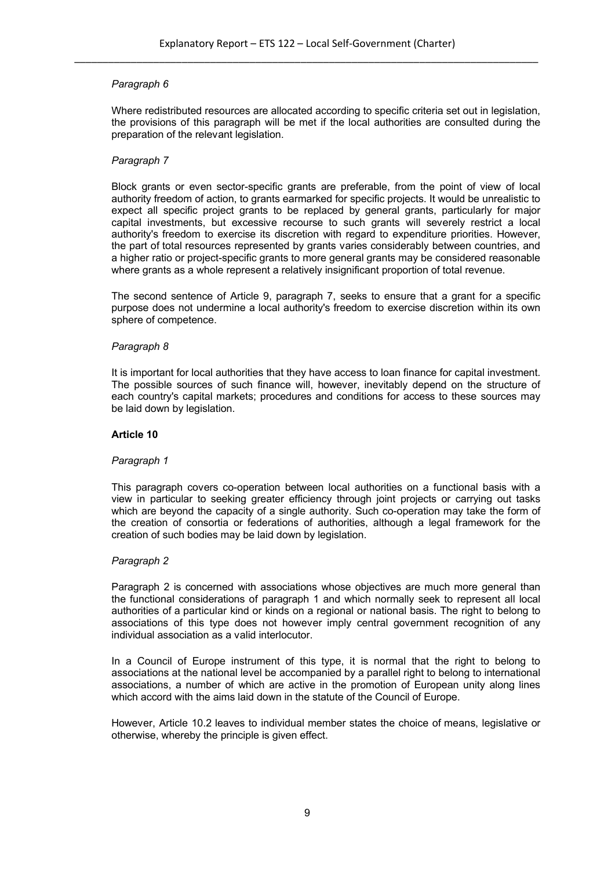Where redistributed resources are allocated according to specific criteria set out in legislation, the provisions of this paragraph will be met if the local authorities are consulted during the preparation of the relevant legislation.

#### *Paragraph 7*

Block grants or even sector-specific grants are preferable, from the point of view of local authority freedom of action, to grants earmarked for specific projects. It would be unrealistic to expect all specific project grants to be replaced by general grants, particularly for major capital investments, but excessive recourse to such grants will severely restrict a local authority's freedom to exercise its discretion with regard to expenditure priorities. However, the part of total resources represented by grants varies considerably between countries, and a higher ratio or project-specific grants to more general grants may be considered reasonable where grants as a whole represent a relatively insignificant proportion of total revenue.

The second sentence of Article 9, paragraph 7, seeks to ensure that a grant for a specific purpose does not undermine a local authority's freedom to exercise discretion within its own sphere of competence.

#### *Paragraph 8*

It is important for local authorities that they have access to loan finance for capital investment. The possible sources of such finance will, however, inevitably depend on the structure of each country's capital markets; procedures and conditions for access to these sources may be laid down by legislation.

#### **Article 10**

#### *Paragraph 1*

This paragraph covers co-operation between local authorities on a functional basis with a view in particular to seeking greater efficiency through joint projects or carrying out tasks which are beyond the capacity of a single authority. Such co-operation may take the form of the creation of consortia or federations of authorities, although a legal framework for the creation of such bodies may be laid down by legislation.

#### *Paragraph 2*

Paragraph 2 is concerned with associations whose objectives are much more general than the functional considerations of paragraph 1 and which normally seek to represent all local authorities of a particular kind or kinds on a regional or national basis. The right to belong to associations of this type does not however imply central government recognition of any individual association as a valid interlocutor.

In a Council of Europe instrument of this type, it is normal that the right to belong to associations at the national level be accompanied by a parallel right to belong to international associations, a number of which are active in the promotion of European unity along lines which accord with the aims laid down in the statute of the Council of Europe.

However, Article 10.2 leaves to individual member states the choice of means, legislative or otherwise, whereby the principle is given effect.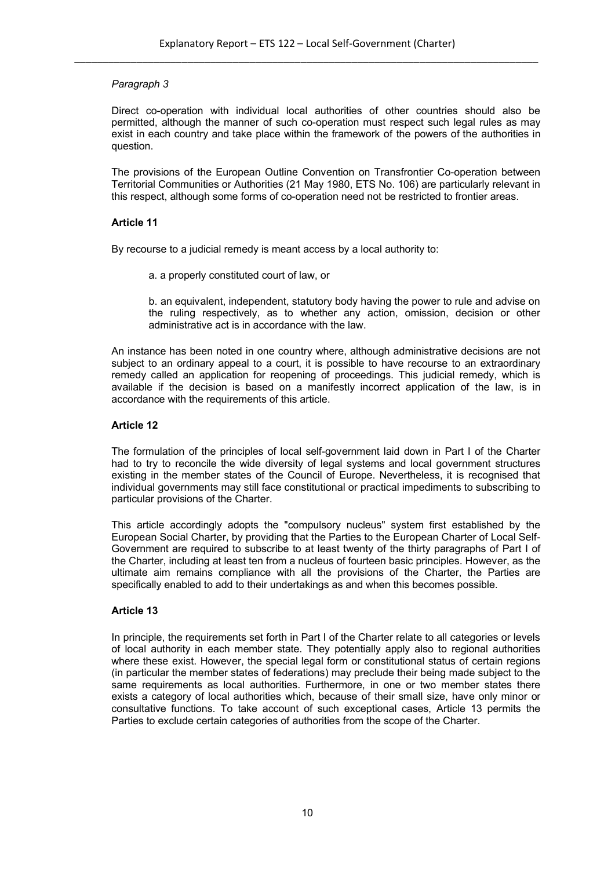Direct co-operation with individual local authorities of other countries should also be permitted, although the manner of such co-operation must respect such legal rules as may exist in each country and take place within the framework of the powers of the authorities in question.

The provisions of the European Outline Convention on Transfrontier Co-operation between Territorial Communities or Authorities (21 May 1980, ETS No. 106) are particularly relevant in this respect, although some forms of co-operation need not be restricted to frontier areas.

#### **Article 11**

By recourse to a judicial remedy is meant access by a local authority to:

a. a properly constituted court of law, or

b. an equivalent, independent, statutory body having the power to rule and advise on the ruling respectively, as to whether any action, omission, decision or other administrative act is in accordance with the law.

An instance has been noted in one country where, although administrative decisions are not subject to an ordinary appeal to a court, it is possible to have recourse to an extraordinary remedy called an application for reopening of proceedings. This judicial remedy, which is available if the decision is based on a manifestly incorrect application of the law, is in accordance with the requirements of this article.

# **Article 12**

The formulation of the principles of local self-government laid down in Part I of the Charter had to try to reconcile the wide diversity of legal systems and local government structures existing in the member states of the Council of Europe. Nevertheless, it is recognised that individual governments may still face constitutional or practical impediments to subscribing to particular provisions of the Charter.

This article accordingly adopts the "compulsory nucleus" system first established by the European Social Charter, by providing that the Parties to the European Charter of Local Self-Government are required to subscribe to at least twenty of the thirty paragraphs of Part I of the Charter, including at least ten from a nucleus of fourteen basic principles. However, as the ultimate aim remains compliance with all the provisions of the Charter, the Parties are specifically enabled to add to their undertakings as and when this becomes possible.

# **Article 13**

In principle, the requirements set forth in Part I of the Charter relate to all categories or levels of local authority in each member state. They potentially apply also to regional authorities where these exist. However, the special legal form or constitutional status of certain regions (in particular the member states of federations) may preclude their being made subject to the same requirements as local authorities. Furthermore, in one or two member states there exists a category of local authorities which, because of their small size, have only minor or consultative functions. To take account of such exceptional cases, Article 13 permits the Parties to exclude certain categories of authorities from the scope of the Charter.